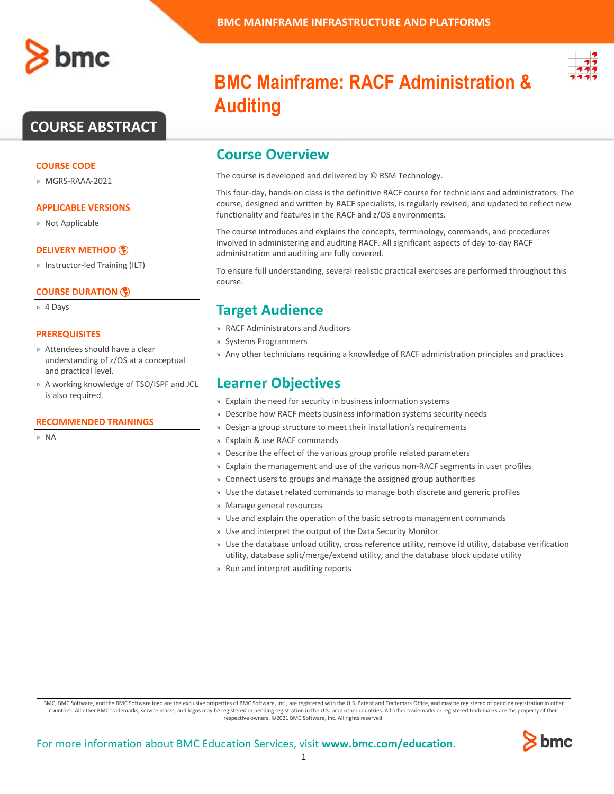

## **COURSE ABSTRACT**

### **COURSE CODE**

» MGRS-RAAA-2021

### **APPLICABLE VERSIONS**

» Not Applicable

### **[DELIVERY METHOD](http://www.bmc.com/education/modality.html)**

» Instructor-led Training (ILT)

### **[COURSE DURATION](http://www.bmc.com/education/learning-paths/education-filters-learning-paths.html)**

» 4 Days

### **PREREQUISITES**

- » Attendees should have a clear understanding of z/OS at a conceptual and practical level.
- » A working knowledge of TSO/ISPF and JCL is also required.

### **RECOMMENDED TRAININGS**

» NA



# **BMC Mainframe: RACF Administration & Auditing**

### **Course Overview**

The course is developed and delivered by © RSM Technology.

This four-day, hands-on class is the definitive RACF course for technicians and administrators. The course, designed and written by RACF specialists, is regularly revised, and updated to reflect new functionality and features in the RACF and z/OS environments.

The course introduces and explains the concepts, terminology, commands, and procedures involved in administering and auditing RACF. All significant aspects of day-to-day RACF administration and auditing are fully covered.

To ensure full understanding, several realistic practical exercises are performed throughout this course.

### **Target Audience**

- » RACF Administrators and Auditors
- » Systems Programmers
- » Any other technicians requiring a knowledge of RACF administration principles and practices

### **Learner Objectives**

- » Explain the need for security in business information systems
- » Describe how RACF meets business information systems security needs
- » Design a group structure to meet their installation's requirements
- » Explain & use RACF commands
- » Describe the effect of the various group profile related parameters
- » Explain the management and use of the various non-RACF segments in user profiles
- » Connect users to groups and manage the assigned group authorities
- » Use the dataset related commands to manage both discrete and generic profiles
- » Manage general resources
- » Use and explain the operation of the basic setropts management commands
- » Use and interpret the output of the Data Security Monitor
- » Use the database unload utility, cross reference utility, remove id utility, database verification utility, database split/merge/extend utility, and the database block update utility
- » Run and interpret auditing reports

BMC, BMC Software, and the BMC Software logo are the exclusive properties of BMC Software, Inc., are registered with the U.S. Patent and Trademark Office, and may be registered or pending registration in other countries. All other BMC trademarks, service marks, and logos may be registered or pending registration in the U.S. or in other countries. All other trademarks or registered trademarks are the property of their respective owners. ©2021 BMC Software, Inc. All rights reserved.

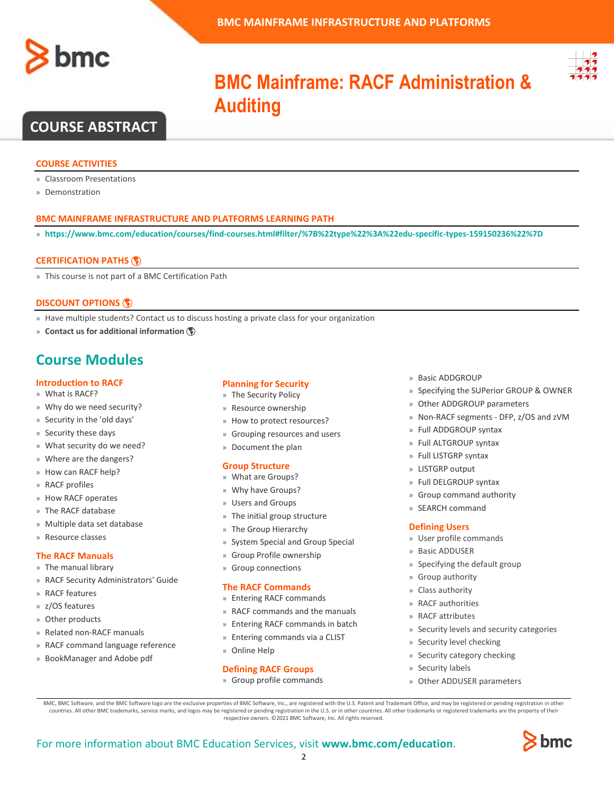



# **BMC Mainframe: RACF Administration & Auditing**

### **COURSE ABSTRACT**

### **COURSE ACTIVITIES**

- » Classroom Presentations
- » Demonstration

### **BMC MAINFRAME INFRASTRUCTURE AND PLATFORMS LEARNING PATH**

» **<https://www.bmc.com/education/courses/find-courses.html#filter/%7B%22type%22%3A%22edu-specific-types-159150236%22%7D>**

### **[CERTIFICATION PATHS](http://www.bmc.com/education/certification-programs)**

» This course is not part of a BMC Certification Path

### **[DISCOUNT OPTIONS](http://www.bmc.com/education/customer-service/customer-service.html)**

- » Have multiple students? Contact us to discuss hosting a private class for your organization
- » **[Contact us for additional information](http://www.bmc.com/education)**

### **Course Modules**

### **Introduction to RACF**

- » What is RACF?
- » Why do we need security?
- » Security in the 'old days'
- » Security these days
- » What security do we need?
- » Where are the dangers?
- » How can RACF help?
- » RACF profiles
- » How RACF operates
- » The RACF database
- » Multiple data set database
- » Resource classes

### **The RACF Manuals**

- » The manual library
- » RACF Security Administrators' Guide
- » RACF features
- » z/OS features
- » Other products
- » Related non-RACF manuals
- » RACF command language reference
- » BookManager and Adobe pdf

#### **Planning for Security**

- » The Security Policy
- » Resource ownership
- » How to protect resources?
- » Grouping resources and users
- » Document the plan

### **Group Structure**

- » What are Groups?
- » Why have Groups?
- » Users and Groups
- » The initial group structure
- » The Group Hierarchy
- » System Special and Group Special
- » Group Profile ownership
- » Group connections

#### **The RACF Commands**

- » Entering RACF commands
- » RACF commands and the manuals
- » Entering RACF commands in batch
- » Entering commands via a CLIST
- » Online Help

#### **Defining RACF Groups**

» Group profile commands

- » Basic ADDGROUP
- » Specifying the SUPerior GROUP & OWNER
- » Other ADDGROUP parameters
- » Non-RACF segments DFP, z/OS and zVM
- » Full ADDGROUP syntax
- » Full ALTGROUP syntax
- » Full LISTGRP syntax
- » LISTGRP output
- » Full DELGROUP syntax
- » Group command authority
- » SEARCH command

#### **Defining Users**

- » User profile commands
- » Basic ADDUSER
- » Specifying the default group
- » Group authority
- » Class authority
- » RACF authorities
- » RACF attributes
- » Security levels and security categories
- » Security level checking
- » Security category checking
- » Security labels
- » Other ADDUSER parameters

BMC, BMC Software, and the BMC Software logo are the exclusive properties of BMC Software, Inc., are registered with the U.S. Patent and Trademark Office, and may be registered or pending registration in other countries. All other BMC trademarks, service marks, and logos may be registered or pending registration in the U.S. or in other countries. All other trademarks or registered trademarks are the property of their respective owners. ©2021 BMC Software, Inc. All rights reserved.

 $\mathfrak{Z}$ 

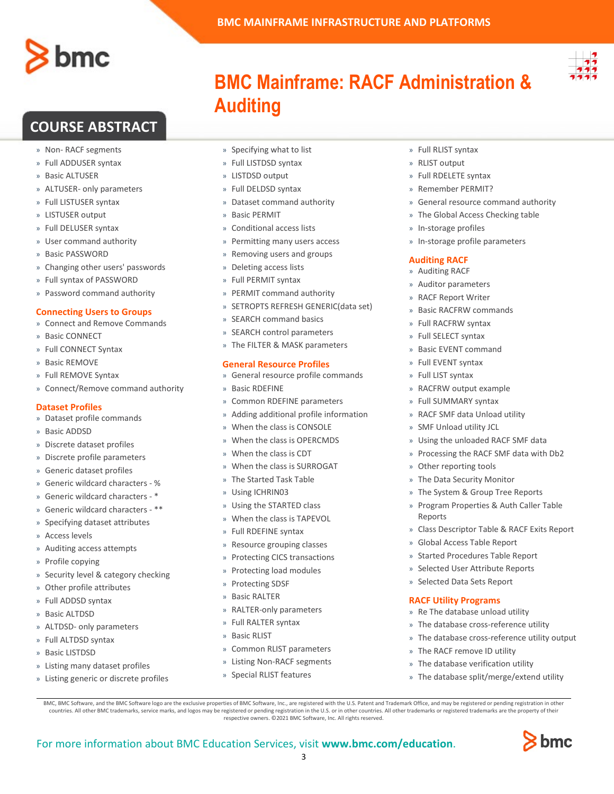

## **COURSE ABSTRACT**

- » Non- RACF segments
- » Full ADDUSER syntax
- » Basic ALTUSER
- » ALTUSER- only parameters
- » Full LISTUSER syntax
- » LISTUSER output
- » Full DELUSER syntax
- » User command authority
- » Basic PASSWORD
- » Changing other users' passwords
- » Full syntax of PASSWORD
- » Password command authority

### **Connecting Users to Groups**

- » Connect and Remove Commands
- » Basic CONNECT
- » Full CONNECT Syntax
- » Basic REMOVE
- » Full REMOVE Syntax
- » Connect/Remove command authority

### **Dataset Profiles**

- » Dataset profile commands
- » Basic ADDSD
- » Discrete dataset profiles
- » Discrete profile parameters
- » Generic dataset profiles
- » Generic wildcard characters %
- » Generic wildcard characters \*
- » Generic wildcard characters \*\*
- » Specifying dataset attributes
- » Access levels
- » Auditing access attempts
- » Profile copying
- » Security level & category checking
- » Other profile attributes
- » Full ADDSD syntax
- » Basic ALTDSD
- » ALTDSD- only parameters
- » Full ALTDSD syntax
- » Basic LISTDSD
- » Listing many dataset profiles
- » Listing generic or discrete profiles
- » Specifying what to list
- » Full LISTDSD syntax
- » LISTDSD output

**Auditing**

- » Full DELDSD syntax
- » Dataset command authority
- » Basic PERMIT
- » Conditional access lists
- » Permitting many users access
- » Removing users and groups
- » Deleting access lists
- » Full PERMIT syntax
- » PERMIT command authority
- » SETROPTS REFRESH GENERIC(data set)
- » SEARCH command basics
- » SEARCH control parameters
- » The FILTER & MASK parameters

### **General Resource Profiles**

- » General resource profile commands
- » Basic RDEFINE
- » Common RDEFINE parameters
- » Adding additional profile information
- » When the class is CONSOLE
- » When the class is OPERCMDS
- » When the class is CDT
- When the class is SURROGAT
- » The Started Task Table
- » Using ICHRIN03
- » Using the STARTED class
- When the class is TAPEVOL
- » Full RDEFINE syntax
- » Resource grouping classes
- » Protecting CICS transactions
- » Protecting load modules
- » Protecting SDSF
- » Basic RALTER
- » RALTER-only parameters
- » Full RALTER syntax
- » Basic RLIST

For more information about BMC Education Services, visit **[www.bmc.com/education](http://www.bmc.com/education/)**.

- » Common RLIST parameters
- » Listing Non-RACF segments

BMC, BMC Software, and the BMC Software logo are the exclusive properties of BMC Software, Inc., are registered with the U.S. Patent and Trademark Office, and may be registered or pending registration in other countries. All other BMC trademarks, service marks, and logos may be registered or pending registration in the U.S. or in other countries. All other trademarks or registered trademarks are the property of their respective owners. ©2021 BMC Software, Inc. All rights reserved.

3

» Special RLIST features

- » Full RLIST syntax
- » RLIST output

**BMC MAINFRAME INFRASTRUCTURE AND PLATFORMS**

**BMC Mainframe: RACF Administration &** 

- » Full RDELETE syntax
- » Remember PERMIT?
- » General resource command authority
- » The Global Access Checking table
- » In-storage profiles
- » In-storage profile parameters

### **Auditing RACF**

- » Auditing RACF
- » Auditor parameters
- » RACF Report Writer
- » Basic RACFRW commands
- » Full RACFRW syntax
- » Full SELECT syntax

» Full EVENT syntax » Full LIST syntax

» Basic EVENT command

» RACFRW output example » Full SUMMARY syntax » RACF SMF data Unload utility » SMF Unload utility JCL

» Other reporting tools » The Data Security Monitor » The System & Group Tree Reports » Program Properties & Auth Caller Table

» Global Access Table Report » Started Procedures Table Report » Selected User Attribute Reports » Selected Data Sets Report

**RACF Utility Programs** » Re The database unload utility » The database cross-reference utility » The database cross-reference utility output

» The RACF remove ID utility » The database verification utility » The database split/merge/extend utility

Reports

» Using the unloaded RACF SMF data » Processing the RACF SMF data with Db2

» Class Descriptor Table & RACF Exits Report

bmc